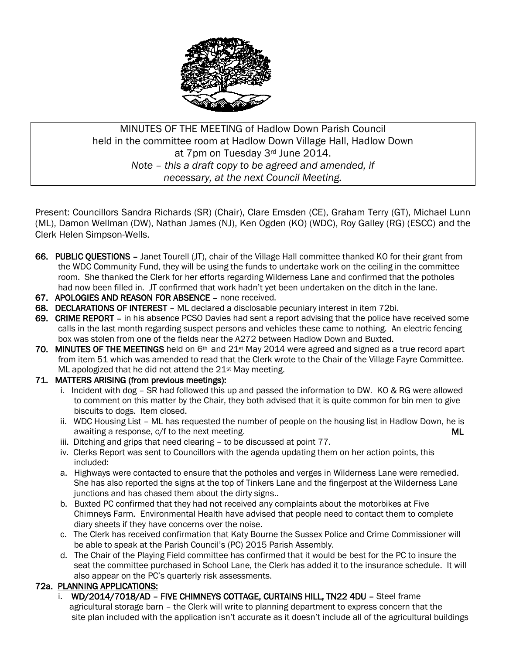

# MINUTES OF THE MEETING of Hadlow Down Parish Council held in the committee room at Hadlow Down Village Hall, Hadlow Down at 7pm on Tuesday 3rd June 2014. *Note – this a draft copy to be agreed and amended, if necessary, at the next Council Meeting.*

Present: Councillors Sandra Richards (SR) (Chair), Clare Emsden (CE), Graham Terry (GT), Michael Lunn (ML), Damon Wellman (DW), Nathan James (NJ), Ken Ogden (KO) (WDC), Roy Galley (RG) (ESCC) and the Clerk Helen Simpson-Wells.

- 66. PUBLIC QUESTIONS Janet Tourell (JT), chair of the Village Hall committee thanked KO for their grant from the WDC Community Fund, they will be using the funds to undertake work on the ceiling in the committee room. She thanked the Clerk for her efforts regarding Wilderness Lane and confirmed that the potholes had now been filled in. JT confirmed that work hadn't yet been undertaken on the ditch in the lane.
- 67. APOLOGIES AND REASON FOR ABSENCE none received.
- 68. DECLARATIONS OF INTEREST ML declared a disclosable pecuniary interest in item 72bi.
- 69. CRIME REPORT in his absence PCSO Davies had sent a report advising that the police have received some calls in the last month regarding suspect persons and vehicles these came to nothing. An electric fencing box was stolen from one of the fields near the A272 between Hadlow Down and Buxted.
- 70. MINUTES OF THE MEETINGS held on 6<sup>th</sup> and 21<sup>st</sup> May 2014 were agreed and signed as a true record apart from item 51 which was amended to read that the Clerk wrote to the Chair of the Village Fayre Committee. ML apologized that he did not attend the 21<sup>st</sup> May meeting.

### 71. MATTERS ARISING (from previous meetings):

- i. Incident with dog  $-$  SR had followed this up and passed the information to DW. KO & RG were allowed to comment on this matter by the Chair, they both advised that it is quite common for bin men to give biscuits to dogs. Item closed.
- ii. WDC Housing List ML has requested the number of people on the housing list in Hadlow Down, he is awaiting a response, c/f to the next meeting. The next meeting of the next state of the next state of the next meeting.
- iii. Ditching and grips that need clearing to be discussed at point 77.
- iv. Clerks Report was sent to Councillors with the agenda updating them on her action points, this included:
- a. Highways were contacted to ensure that the potholes and verges in Wilderness Lane were remedied. She has also reported the signs at the top of Tinkers Lane and the fingerpost at the Wilderness Lane junctions and has chased them about the dirty signs..
- b. Buxted PC confirmed that they had not received any complaints about the motorbikes at Five Chimneys Farm. Environmental Health have advised that people need to contact them to complete diary sheets if they have concerns over the noise.
- c. The Clerk has received confirmation that Katy Bourne the Sussex Police and Crime Commissioner will be able to speak at the Parish Council's (PC) 2015 Parish Assembly.
- d. The Chair of the Playing Field committee has confirmed that it would be best for the PC to insure the seat the committee purchased in School Lane, the Clerk has added it to the insurance schedule. It will also appear on the PC's quarterly risk assessments.

## 72a. PLANNING APPLICATIONS:

 i. WD/2014/7018/AD – FIVE CHIMNEYS COTTAGE, CURTAINS HILL, TN22 4DU – Steel frame agricultural storage barn – the Clerk will write to planning department to express concern that the site plan included with the application isn't accurate as it doesn't include all of the agricultural buildings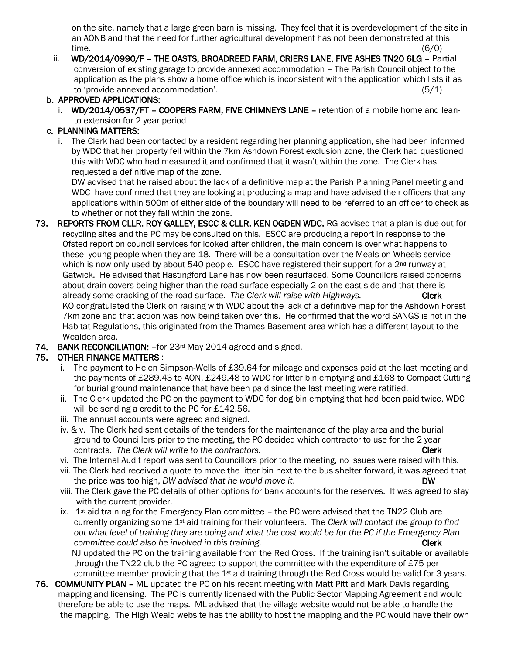on the site, namely that a large green barn is missing. They feel that it is overdevelopment of the site in an AONB and that the need for further agricultural development has not been demonstrated at this time.  $(6/0)$ 

 ii. WD/2014/0990/F – THE OASTS, BROADREED FARM, CRIERS LANE, FIVE ASHES TN20 6LG – Partial conversion of existing garage to provide annexed accommodation – The Parish Council object to the application as the plans show a home office which is inconsistent with the application which lists it as to 'provide annexed accommodation'. (5/1)

## b. APPROVED APPLICATIONS:

i. WD/2014/0537/FT - COOPERS FARM, FIVE CHIMNEYS LANE - retention of a mobile home and leanto extension for 2 year period

### c. PLANNING MATTERS:

 i. The Clerk had been contacted by a resident regarding her planning application, she had been informed by WDC that her property fell within the 7km Ashdown Forest exclusion zone, the Clerk had questioned this with WDC who had measured it and confirmed that it wasn't within the zone. The Clerk has requested a definitive map of the zone.

 DW advised that he raised about the lack of a definitive map at the Parish Planning Panel meeting and WDC have confirmed that they are looking at producing a map and have advised their officers that any applications within 500m of either side of the boundary will need to be referred to an officer to check as to whether or not they fall within the zone.

- 73. REPORTS FROM CLLR. ROY GALLEY, ESCC & CLLR. KEN OGDEN WDC. RG advised that a plan is due out for recycling sites and the PC may be consulted on this. ESCC are producing a report in response to the Ofsted report on council services for looked after children, the main concern is over what happens to these young people when they are 18. There will be a consultation over the Meals on Wheels service which is now only used by about 540 people. ESCC have registered their support for a  $2<sup>nd</sup>$  runway at Gatwick. He advised that Hastingford Lane has now been resurfaced. Some Councillors raised concerns about drain covers being higher than the road surface especially 2 on the east side and that there is already some cracking of the road surface. The Clerk will raise with Highways. Clerk KO congratulated the Clerk on raising with WDC about the lack of a definitive map for the Ashdown Forest 7km zone and that action was now being taken over this. He confirmed that the word SANGS is not in the Habitat Regulations, this originated from the Thames Basement area which has a different layout to the Wealden area.
- 74. BANK RECONCILIATION: –for 23rd May 2014 agreed and signed.

## 75. OTHER FINANCE MATTERS :

- i. The payment to Helen Simpson-Wells of £39.64 for mileage and expenses paid at the last meeting and the payments of £289.43 to AON, £249.48 to WDC for litter bin emptying and £168 to Compact Cutting for burial ground maintenance that have been paid since the last meeting were ratified.
- ii. The Clerk updated the PC on the payment to WDC for dog bin emptying that had been paid twice, WDC will be sending a credit to the PC for £142.56.
- iii. The annual accounts were agreed and signed.
- iv. & v. The Clerk had sent details of the tenders for the maintenance of the play area and the burial ground to Councillors prior to the meeting, the PC decided which contractor to use for the 2 year contracts. The Clerk will write to the contractors. The contractors of the contractors of the contractors of the contractors of the contractors of the contractors of the contractors of the contractors of the contractors of
- vi. The Internal Audit report was sent to Councillors prior to the meeting, no issues were raised with this.
- vii. The Clerk had received a quote to move the litter bin next to the bus shelter forward, it was agreed that the price was too high, *DW advised that he would move it*. **DW DW**
- viii. The Clerk gave the PC details of other options for bank accounts for the reserves. It was agreed to stay with the current provider.
- ix.  $1<sup>st</sup>$  aid training for the Emergency Plan committee the PC were advised that the TN22 Club are currently organizing some 1st aid training for their volunteers. The *Clerk will contact the group to find out what level of training they are doing and what the cost would be for the PC if the Emergency Plan committee could also be involved in this training.* **The committee could also be involved in this training.**

 NJ updated the PC on the training available from the Red Cross. If the training isn't suitable or available through the TN22 club the PC agreed to support the committee with the expenditure of £75 per committee member providing that the 1st aid training through the Red Cross would be valid for 3 years.

76. COMMUNITY PLAN – ML updated the PC on his recent meeting with Matt Pitt and Mark Davis regarding mapping and licensing. The PC is currently licensed with the Public Sector Mapping Agreement and would therefore be able to use the maps. ML advised that the village website would not be able to handle the the mapping. The High Weald website has the ability to host the mapping and the PC would have their own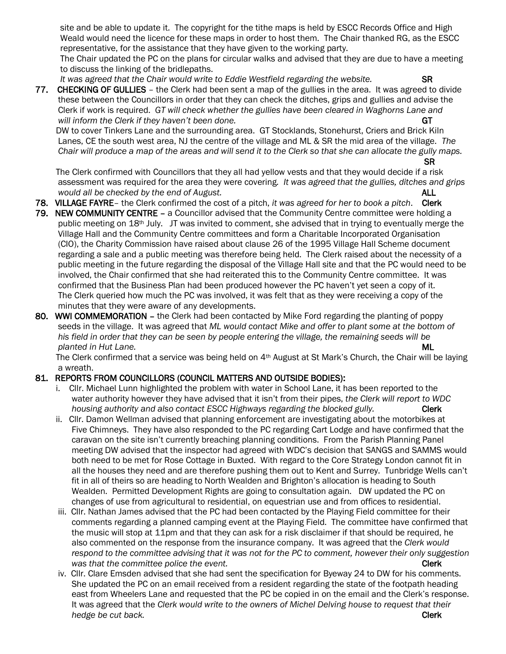site and be able to update it. The copyright for the tithe maps is held by ESCC Records Office and High Weald would need the licence for these maps in order to host them. The Chair thanked RG, as the ESCC representative, for the assistance that they have given to the working party.

 The Chair updated the PC on the plans for circular walks and advised that they are due to have a meeting to discuss the linking of the bridlepaths.

*It was agreed that the Chair would write to Eddie Westfield regarding the website.* SR

77. CHECKING OF GULLIES – the Clerk had been sent a map of the gullies in the area. It was agreed to divide these between the Councillors in order that they can check the ditches, grips and gullies and advise the Clerk if work is required. *GT will check whether the gullies have been cleared in Waghorns Lane and will inform the Clerk if they haven't been done.* **CHE ALL A RESERVENT AND RESERVENT AND RESERVENT AND RESERVENT AND RESERVENT AND RESERVENT AND RESERVENT AND RESERVENT AND RESERVENT AND RESERVENT AND RESERVENT AND RESERV** 

 DW to cover Tinkers Lane and the surrounding area. GT Stocklands, Stonehurst, Criers and Brick Kiln Lanes, CE the south west area, NJ the centre of the village and ML & SR the mid area of the village. *The Chair will produce a map of the areas and will send it to the Clerk so that she can allocate the gully maps.* 

SR

 The Clerk confirmed with Councillors that they all had yellow vests and that they would decide if a risk assessment was required for the area they were covering*. It was agreed that the gullies, ditches and grips would all be checked by the end of August.* ALL

- 78. VILLAGE FAYRE– the Clerk confirmed the cost of a pitch, *it was agreed for her to book a pitch*. Clerk
- 79. NEW COMMUNITY CENTRE a Councillor advised that the Community Centre committee were holding a public meeting on 18th July. JT was invited to comment, she advised that in trying to eventually merge the Village Hall and the Community Centre committees and form a Charitable Incorporated Organisation (CIO), the Charity Commission have raised about clause 26 of the 1995 Village Hall Scheme document regarding a sale and a public meeting was therefore being held. The Clerk raised about the necessity of a public meeting in the future regarding the disposal of the Village Hall site and that the PC would need to be involved, the Chair confirmed that she had reiterated this to the Community Centre committee. It was confirmed that the Business Plan had been produced however the PC haven't yet seen a copy of it. The Clerk queried how much the PC was involved, it was felt that as they were receiving a copy of the minutes that they were aware of any developments.
- 80. WWI COMMEMORATION the Clerk had been contacted by Mike Ford regarding the planting of poppy seeds in the village. It was agreed that *ML would contact Mike and offer to plant some at the bottom of his field in order that they can be seen by people entering the village, the remaining seeds will be planted in Hut Lane.* ML

The Clerk confirmed that a service was being held on 4<sup>th</sup> August at St Mark's Church, the Chair will be laying a wreath.

### 81. REPORTS FROM COUNCILLORS (COUNCIL MATTERS AND OUTSIDE BODIES):

- i. Cllr. Michael Lunn highlighted the problem with water in School Lane, it has been reported to the water authority however they have advised that it isn't from their pipes, *the Clerk will report to WDC housing authority and also contact ESCC Highways regarding the blocked gully.* Clerk
- ii. Cllr. Damon Wellman advised that planning enforcement are investigating about the motorbikes at Five Chimneys. They have also responded to the PC regarding Cart Lodge and have confirmed that the caravan on the site isn't currently breaching planning conditions. From the Parish Planning Panel meeting DW advised that the inspector had agreed with WDC's decision that SANGS and SAMMS would both need to be met for Rose Cottage in Buxted. With regard to the Core Strategy London cannot fit in all the houses they need and are therefore pushing them out to Kent and Surrey. Tunbridge Wells can't fit in all of theirs so are heading to North Wealden and Brighton's allocation is heading to South Wealden. Permitted Development Rights are going to consultation again. DW updated the PC on changes of use from agricultural to residential, on equestrian use and from offices to residential.
- iii. Cllr. Nathan James advised that the PC had been contacted by the Playing Field committee for their comments regarding a planned camping event at the Playing Field. The committee have confirmed that the music will stop at 11pm and that they can ask for a risk disclaimer if that should be required, he also commented on the response from the insurance company. It was agreed that the *Clerk would respond to the committee advising that it was not for the PC to comment, however their only suggestion was that the committee police the event.* Clerk **Clerk Clerk**
- iv. Cllr. Clare Emsden advised that she had sent the specification for Byeway 24 to DW for his comments. She updated the PC on an email received from a resident regarding the state of the footpath heading east from Wheelers Lane and requested that the PC be copied in on the email and the Clerk's response. It was agreed that the *Clerk would write to the owners of Michel Delving house to request that their hedge be cut back.* Clerk